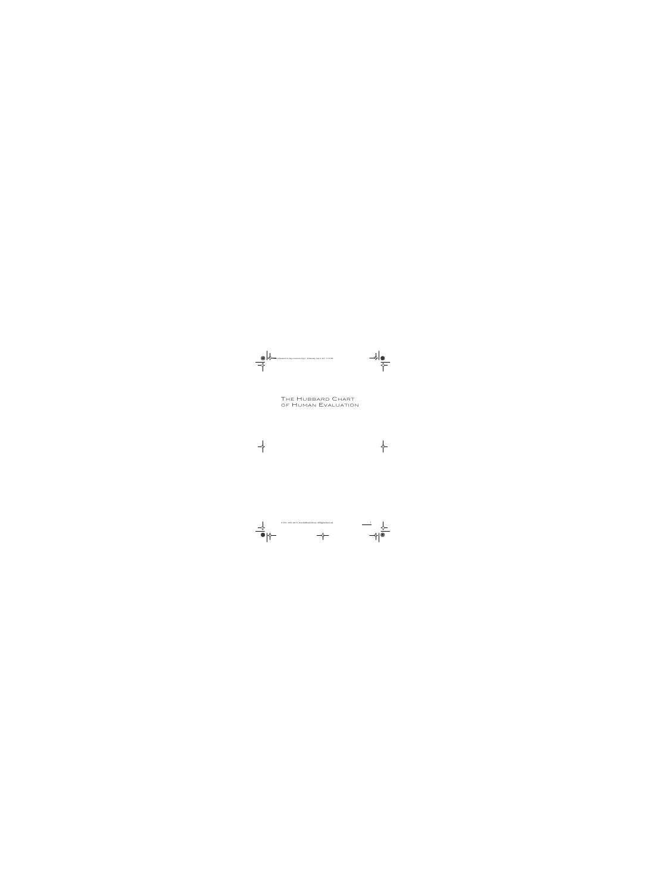## THE HUBBARD CHART OF HUMAN EVALUATION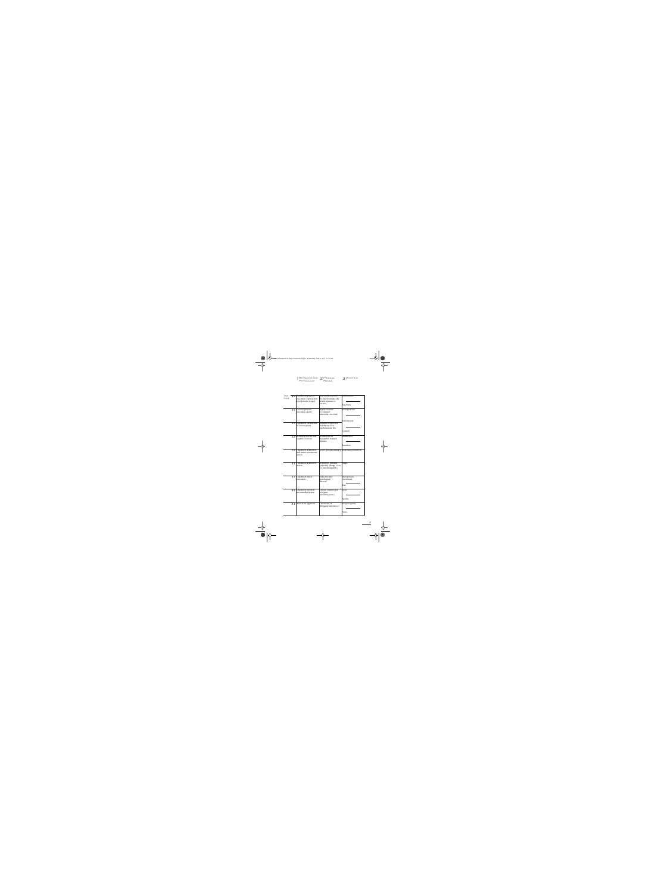| 1 BEHAVIOR AND 2 MEDICAL<br>PHYSIOLOGY RANGE | З |
|----------------------------------------------|---|
|                                              |   |



| <b>TONE</b>  | 4.0 <sub>1</sub> | Excellent at projects,                                      | Near accident-proof.                                   | Exhilaration.                       |
|--------------|------------------|-------------------------------------------------------------|--------------------------------------------------------|-------------------------------------|
| <b>SCALE</b> |                  | execution. Fast reaction                                    | No psychosomatic ills.                                 |                                     |
|              |                  | time (relative to age).                                     | Nearly immune to                                       |                                     |
|              |                  |                                                             | bacteria.                                              | Eagerness.                          |
|              | 3.5              | Good at projects,<br>execution, sports.                     | Highly resistant<br>to common                          | Strong interest.                    |
|              |                  |                                                             | infections-no colds.                                   |                                     |
|              | 3.0              | Capable of fair amount                                      | Resistant to infection                                 | Mild interest.                      |
|              |                  | of action, sports.                                          | and disease. Few<br>psychosomatic ills.                |                                     |
|              |                  |                                                             |                                                        | Content.                            |
|              | 2.5              | Relatively inactive but<br>capable of action.               | Occasionally ill.<br>Susceptible to usual              | Indifference.                       |
|              |                  |                                                             | diseases.                                              |                                     |
|              |                  |                                                             |                                                        | Boredom.                            |
|              | 2.0              | Capable of destructive<br>and minor constructive<br>action. | Severe sporadic illnesses. Expressed resentment.       |                                     |
|              | 1.5              | Capable of destructive                                      | Depository illnesses                                   | Anger.                              |
|              |                  | action.                                                     | (arthritis). (Range 1.0 to<br>2.0 interchangeable.)    |                                     |
|              | 1.1              | Capable of minor<br>execution.                              | Endocrine and<br>neurological<br>illnesses.            | Unexpressed<br>resentment.<br>Fear. |
|              | 0.5              | Capable of relatively<br>uncontrolled action.               | Chronic malfunction<br>of organs.<br>(Accident-prone.) | Grief.                              |
|              |                  |                                                             |                                                        | Apathy.                             |
|              | 0.1              | Alive as an organism.                                       | Chronically ill.<br>(Refusing sustenance.)             | Deepest apathy.                     |
|              |                  |                                                             |                                                        | None.                               |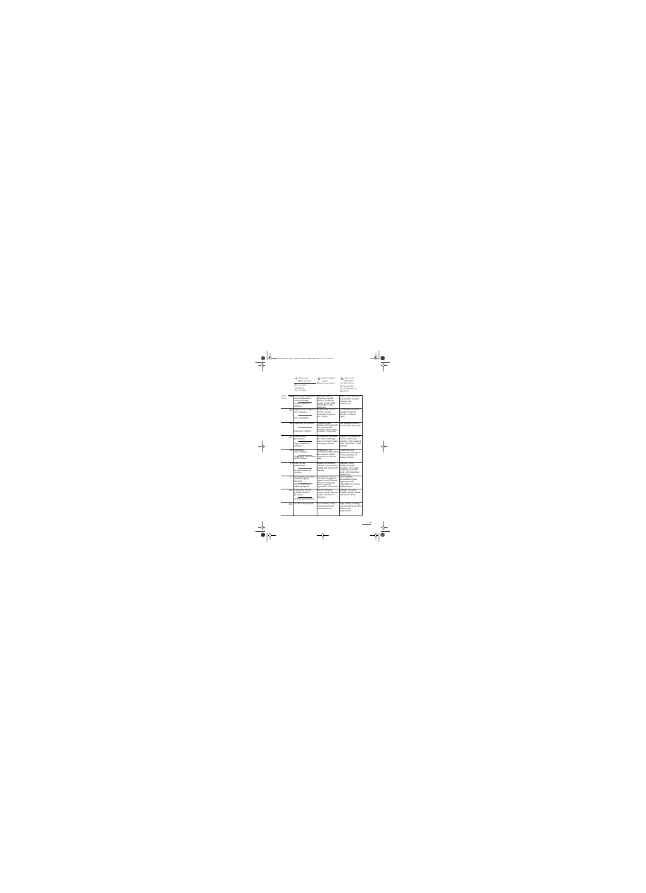|                      |     | 4 SEXUAL<br>BEHAVIOR<br>Attitude<br><b>TOWARD</b><br>CHILDREN                                            | COMMAND<br>ENVIRONMENT                                                                                                                                  | <b>ACTUAL</b><br><b>TO SOCIETY</b><br>COMPARED<br>TO APPARENT<br><b>WORTH</b>                                                  |
|----------------------|-----|----------------------------------------------------------------------------------------------------------|---------------------------------------------------------------------------------------------------------------------------------------------------------|--------------------------------------------------------------------------------------------------------------------------------|
| TONE<br><b>SCALE</b> | 4.0 | Sexual interest high but<br>often sublimated to<br>creative thought.<br>Intense interest in<br>children. | High self-mastery.<br>Aggressive toward<br>environ. Dislikes to<br>control people. High<br>reasoning, volatile<br>emotions.                             | High worth. Apparent<br>worth will be realized.<br>Creative and<br>constructive.                                               |
|                      | 3.5 | High interest in opposite<br>sex. Constancy.<br>Love of children.                                        | Reasons well. Good<br>control. Accepts<br>ownership. Emotion<br>free. Liberal.                                                                          | Good value to society.<br>Adjusts environ to<br>benefit of self and<br>others.                                                 |
|                      | 3.0 | Interest in procreation.<br>Interest in children.                                                        | Controls bodily<br>functions. Reasons well.<br>Free emotion still<br>inhibited. Allows rights<br>to others. Democratic.                                 | Any apparent worth is<br>actual worth. Fair value.                                                                             |
|                      | 2.5 | Disinterest in<br>procreation.<br>Vague tolerance of<br>children.                                        | In control of functions<br>and some reasoning<br>powers. Does not desire<br>ownership of much.                                                          | Capable of constructive<br>action, seldom any<br>quantity to be reckoned<br>with. Small value. "Well<br>adjusted."             |
|                      | 2.0 | Disgust for<br>sex–revulsion.<br>Nagging of, nervousness<br>about children.                              | Antagonistic and<br>destructive to self, others<br>and environ. Desires<br>command in order to<br>injure.                                               | Dangerous. Any<br>apparent worth wiped<br>out by potentials of<br>injury to others.                                            |
|                      | 1.5 | Rape, sex as<br>punishment.<br>Brutal treatment of<br>children.                                          | Smashes or destroys<br>others or environment.<br>Failing, may destroy self.<br>Fascistic.                                                               | Insincere. Heavy<br>liability. Possible<br>murderer. Even when<br>intentions avowedly<br>good will bring about<br>destruction. |
|                      | 1.1 | Promiscuity, perversion,<br>sadism, irregular<br>practices.<br>Use of children for<br>sadistic purposes. | No control of reason or<br>emotions, but apparent<br>organic control. Uses sly<br>means of controlling<br>others, especially<br>hypnotism. Communistic. | Active liability.<br>Enturbulates others.<br>Apparent worth<br>outweighed by vicious,<br>hidden intents.                       |
|                      | 0.5 | Impotency, anxiety,<br>possible efforts to<br>procreate.<br>Anxiety about children.                      | <b>Barest functional</b><br>control of self, only. No<br>control of reason or<br>emotions.                                                              | Liability to society.<br>Possible suicide. Utterly<br>careless of others.                                                      |
|                      | 0.1 | No effort to procreate.                                                                                  | No command of self,<br>environment, other<br>persons. Suicide.                                                                                          | High liability, needing<br>care and efforts of others<br>without any<br>contribution.                                          |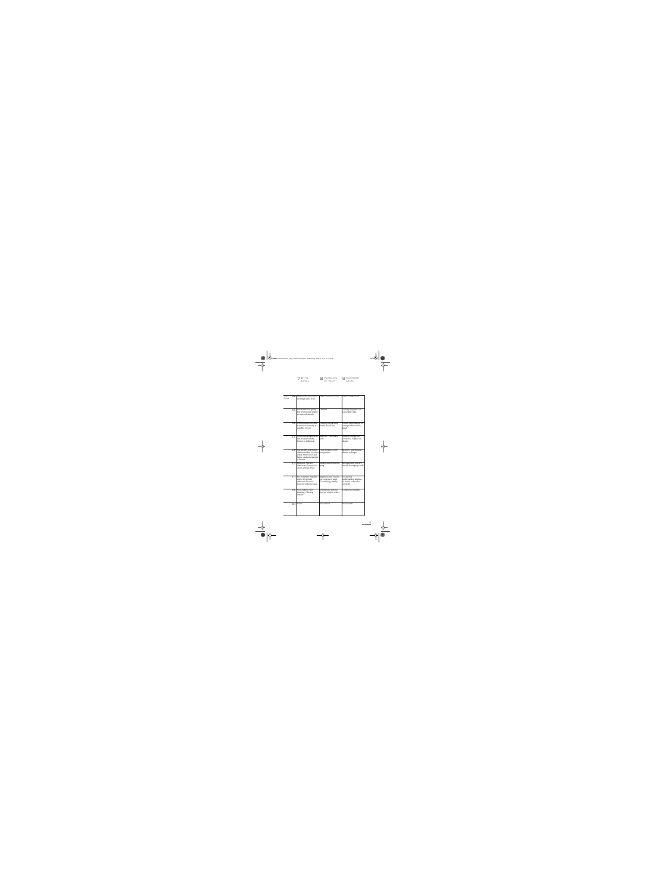| $7E$ THIC                                          | O HANDLING | <b>Q COURAGE</b> |
|----------------------------------------------------|------------|------------------|
| $\left  \begin{array}{c} \end{array} \right $ FVFI | OF TRUTH   | $I$ $FVFI$       |

| TONE<br>4.0<br><b>SCALE</b> | Bases ethics on reason.<br>Very high ethic level.                                                                         | High concept of truth.                                                   | High courage level.                                                     |
|-----------------------------|---------------------------------------------------------------------------------------------------------------------------|--------------------------------------------------------------------------|-------------------------------------------------------------------------|
| 3.5                         | Heeds ethics of group<br>but refines them higher<br>as reason demands.                                                    | Truthful.                                                                | Courage displayed on<br>reasonable risks.                               |
| 3.0                         | Follows ethics in which<br>trained, as honestly as<br>possible. Moral.                                                    | Cautious of asserting<br>truths. Social lies.                            | Conservative display of<br>courage where risk is<br>small.              |
| 2.5                         | Treats ethics insincerely<br>but not particularly<br>honest or dishonest.                                                 | Insincere. Careless of<br>facts.                                         | Neither courage nor<br>cowardice. Neglect of<br>danger.                 |
| 2.0                         | Chronically and bluntly<br>dishonest when occasion<br>arises. At this level and<br>below: authoritarianism,<br>criminals. | Truth twisted to suit<br>antagonism.                                     | Reactive, unreasoning<br>thrusts at danger.                             |
| 1.5                         | Immoral. Actively<br>dishonest. Destructive<br>of any and all ethics.                                                     | <b>Blatant and destructive</b><br>lying.                                 | Unreasonable bravery,<br>usually damaging to self.                      |
| 1.1                         | Sex criminals. Negative<br>ethics. Deviously<br>dishonest. Perverts<br>honesty without reason.                            | Ingenious and vicious<br>perversions of truth.<br>Covers lying artfully. | Occasional<br>underhanded displays<br>of action, otherwise<br>cowardly. |
| 0.5                         | Non-existent. Not<br>thinking. Obeying<br>anyone.                                                                         | Details facts with no<br>concept of their reality.                       | Complete cowardice.                                                     |
| 0.1                         | None.                                                                                                                     | No reaction.                                                             | No reaction.                                                            |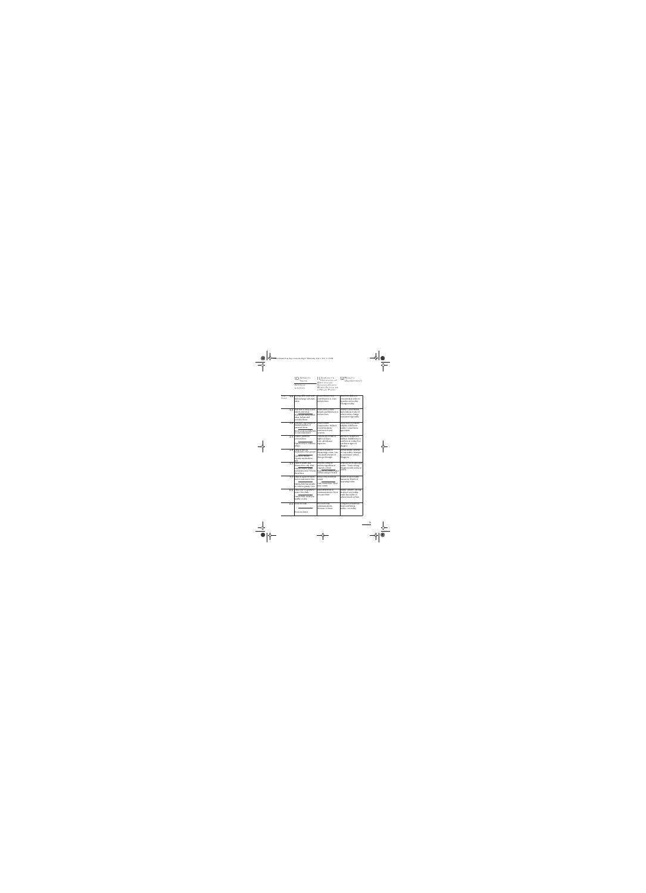| $1 \cap$ SPEECH:   | 11 SUBJECT'S<br>HANDLING OF                                  | $1 \Omega$ REALITY |
|--------------------|--------------------------------------------------------------|--------------------|
| TAI KS             | WRITTEN OR                                                   | $-(AGREEMENT)$     |
| SPEECH:<br>LISTENS | <b>SPOKEN COMM</b><br><b>WHEN ACTING AS</b><br>A RELAY POINT |                    |

| TONE<br><b>SCALE</b> | 4.0 Strong, able, swift and<br>full exchange of beliefs,<br>ideas.                                                     | Passes theta comm,<br>contributes to it. Cuts<br>entheta lines.                                                        | Search for different<br>viewpoints in order to<br>broaden own reality.<br>Changes reality.                           |
|----------------------|------------------------------------------------------------------------------------------------------------------------|------------------------------------------------------------------------------------------------------------------------|----------------------------------------------------------------------------------------------------------------------|
| 3.5                  | Will talk of deep-seated<br>beliefs and ideas.<br>Will accept deep-seated<br>ideas, beliefs and<br>consider them.      | Passes theta comm.<br>Resents and hits back at<br>entheta lines.                                                       | Ability to understand<br>and evaluate reality of<br>others and to change<br>viewpoint. Agreeable.                    |
| 3.0                  | Tentative expression of<br>limited number of<br>personal ideas.<br>Receives ideas and beliefs<br>if cautiously stated. | Passes comm.<br>Conservative. Inclines<br>toward moderate<br>construction and<br>creation.                             | Awareness of possible<br>validity of different<br>reality. Conservative<br>agreement.                                |
| 2.5                  | Casual, pointless<br>conversation.<br>Listens only to ordinary<br>affairs.                                             | Cancels any comm of<br>higher or lower<br>tone-devaluates<br>urgencies.                                                | Refusal to match two<br>realities. Indifference to<br>conflicts in reality. Too<br>careless to agree or<br>disagree. |
| 2.0                  | Talks in threats.<br>Invalidates other people.<br>Listens to threats.<br>Openly mocks theta<br>talk.                   | Deals in hostile or<br>threatening comm. Lets<br>only small amount of<br>theta go through.                             | Verbal doubt-defense<br>of own reality. Attempts<br>to undermine others'.<br>Disagrees.                              |
| 1.5                  | Talks of death and<br>destruction only. Hate.<br>Listens only to death<br>and destruction. Wrecks<br>theta lines.      | Perverts comm to<br>entheta regardless of<br>original content.<br>Stops theta comm. Passes<br>entheta and perverts it. | Destruction of opposing<br>reality. "You're wrong."<br>Disagrees with reality of<br>others.                          |
| 1.1                  | Talks in apparent theta<br>but vicious intent. Lies.<br>Listens little but mostly<br>to cabal or gossip. Lies.         | Relays only malicious<br>comm.<br>Cuts comm lines. Won't<br>relay comm.                                                | Doubt of own reality.<br>Insecurity. Doubt of<br>opposing reality.                                                   |
| 0.5                  | Talks only in apathetic<br>tones. Very little.<br>Listens little, mostly to<br>apathy or pity.                         | Takes little heed of<br>communications. Does<br>not pass them.                                                         | Shame, anxiety-strong<br>doubt of own reality,<br>easily has reality of<br>others forced on him.                     |
| 0.1                  | Does not talk.<br>Does not listen.                                                                                     | Does not relay<br>communications.<br>Unaware of them.                                                                  | Complete withdrawal<br>from conflicting<br>reality-no reality.                                                       |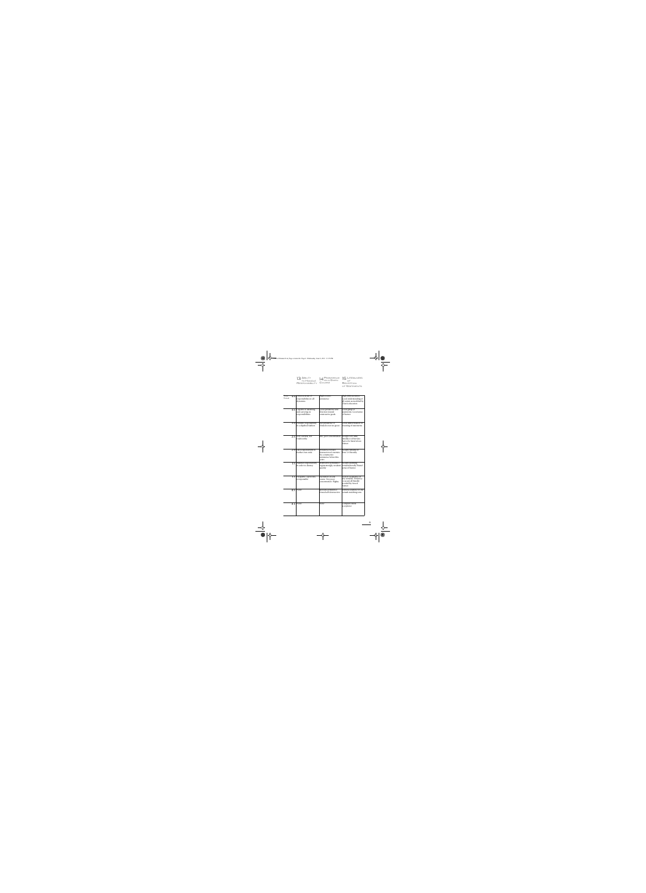| 13 ABILITY<br>TO HANDLE | $14 \frac{\text{Pers}}{\text{ON A GIVEN}}$ 15 LIT |       |
|-------------------------|---------------------------------------------------|-------|
| RESPONSIBILITY COURSE   |                                                   | RECEE |

**LITERALNESS** RECEPTION OF STATEMENTS

| TONE<br><b>SCALE</b> | 4.0 | Inherent sense of<br>responsibility on all<br>dynamics.     | High creative<br>persistence.                                                                        | High differentiation.<br>Good understanding of<br>all comm as modified by<br>Clear's education.          |
|----------------------|-----|-------------------------------------------------------------|------------------------------------------------------------------------------------------------------|----------------------------------------------------------------------------------------------------------|
|                      | 3.5 | Capable of assuming<br>and carrying on<br>responsibilities. | Good persistence and<br>direction toward<br>constructive goals.                                      | Good grasp of<br>statements. Good sense<br>of humor.                                                     |
|                      | 3.0 | Handles responsibility<br>in a slipshod fashion.            | Fair persistence if<br>obstacles not too great.                                                      | Good differentiation of<br>meaning of statements.                                                        |
|                      | 2.5 | Very careless, not<br>trustworthy.                          | Idle, poor concentration. Accepts very little,                                                       | literally or otherwise.<br>Apt to be literal about<br>humor.                                             |
|                      | 2.0 | Uses responsibility to<br>further own ends.                 | Persistence toward<br>destruction of enemies.<br>No constructive<br>persistence below this<br>point. | Accepts remarks of<br>Tone 2.0 literally.                                                                |
|                      | 1.5 | Assumes responsibility<br>in order to destroy.              | Destructive persistence<br>begins strongly, weakens<br>quickly.                                      | Accepts alarming<br>remarks literally. Brutal<br>sense of humor.                                         |
|                      | 1.1 | Incapable, capricious,<br>irresponsible.                    | Vacillation on any<br>course. Very poor<br>concentration. Flighty.                                   | Lack of acceptance of<br>any remarks. Tendency<br>to accept all literally<br>avoided by forced<br>humor. |
|                      | 0.5 | None.                                                       | Sporadic persistence<br>toward self-destruction.                                                     | Literal acceptance of any<br>remark matching tone.                                                       |
|                      | 0.1 | None.                                                       | None.                                                                                                | Complete literal<br>acceptance.                                                                          |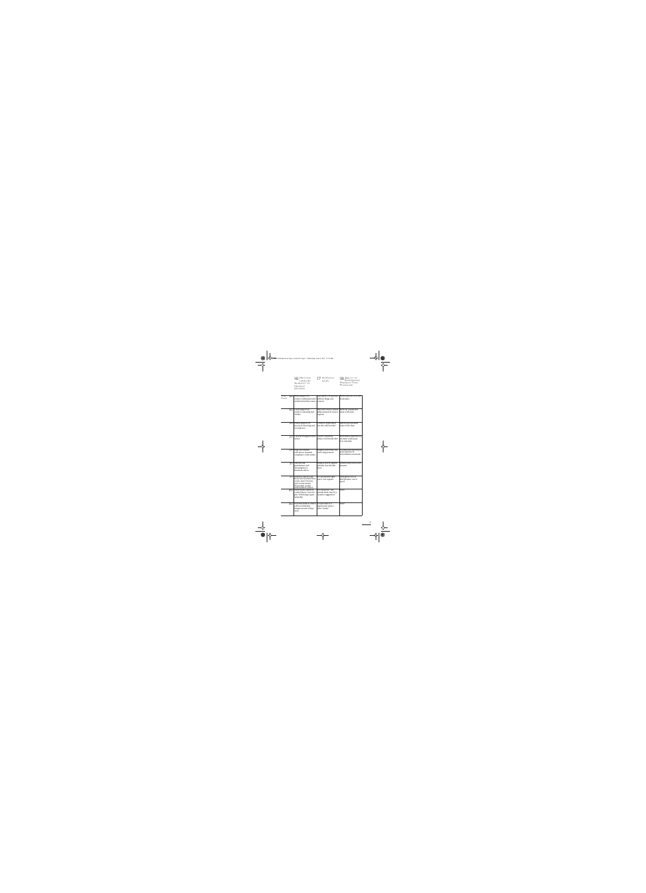METHOD USED BY SUBJECT TO **HANDLE OTHERS** 16 METHOD 17 HYPNOTIC 18

HYPNOTIC

ABILITY TO **EXPERIENCE** PRESENT TIME PLEASURE

| <b>TONE</b><br>4.0<br><b>SCALE</b> | Gains support by<br>creative enthusiasm and<br>vitality backed by reason.                                                                        | Impossible to hypnotize Finds existence very full<br>without drugs and<br>consent.                                | of pleasure.                                                           |
|------------------------------------|--------------------------------------------------------------------------------------------------------------------------------------------------|-------------------------------------------------------------------------------------------------------------------|------------------------------------------------------------------------|
| 3.5                                | Gains support by<br>creative reasoning and<br>vitality.                                                                                          | Difficult to trance unless   Finds life pleasurable<br>still possessed of a trance   most of the time.<br>engram. |                                                                        |
| 3.0                                | Invites support by<br>practical reasoning and<br>social graces.                                                                                  | Could be hypnotized,<br>but alert when awake.                                                                     | Experiences pleasure<br>some of the time.                              |
| 2.5                                | Careless of support from<br>others.                                                                                                              | Can be a hypnotic<br>subject, but mostly alert.                                                                   | Sometimes experiences a<br>moment of pleasure.<br>Low intensity.       |
| 2.0                                | Nags and bluntly<br>criticizes to demand<br>compliance with wishes.                                                                              | Negates somewhat, but<br>can be hypnotized.                                                                       | Occasionally experiences<br>some pleasure in<br>extraordinary moments. |
| 1.5                                | Uses threats,<br>punishment and<br>alarming lies to<br>dominate others.                                                                          | Negates heavily against<br>remarks, but absorbs<br>them.                                                          | Seldom experiences any<br>pleasure.                                    |
| 1.1                                | Nullifies others to get<br>them to level where they<br>can be used. Devious<br>and vicious means.<br>Hypnotism, gossip.<br>Seeks hidden control. | In a permanent light<br>trance, but negates.                                                                      | Most gaiety forced.<br>Real pleasure out of<br>reach.                  |
| 0.5                                | Enturbulates others to<br>control them. Cries for<br>pity. Wild lying to gain<br>sympathy.                                                       | Very hypnotic. Any<br>remark made may be a<br>"positive suggestion."                                              | None.                                                                  |
| 0.1                                | Pretends death so others<br>will not think him<br>dangerous and will go<br>away.                                                                 | Is equivalent to a<br>hypnotized subject<br>when "awake."                                                         | None.                                                                  |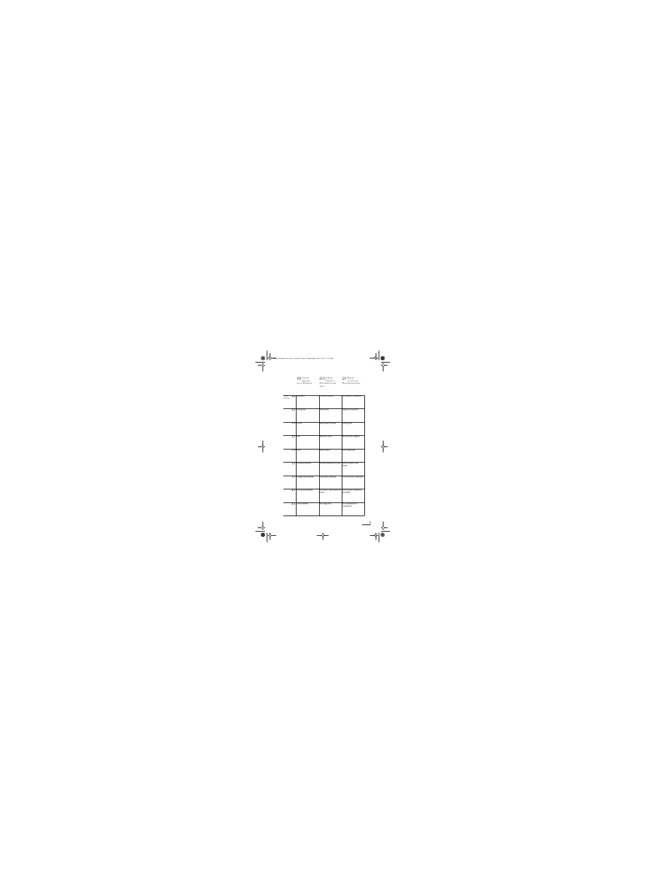| 19 Your<br>Value   |
|--------------------|
|                    |
| <b>AS A FRIEND</b> |

HOW **М**исн **OTHERS LIKE** YOU 19 YOUR 20 HOW 21



| <b>TONE</b><br><b>SCALE</b> |                  | 4.0 Excellent.        | Loved by many.                             | In excellent condition.             |
|-----------------------------|------------------|-----------------------|--------------------------------------------|-------------------------------------|
|                             |                  |                       |                                            |                                     |
|                             |                  |                       |                                            |                                     |
|                             |                  |                       |                                            |                                     |
|                             | 3.5              | Very good.            | Well loved.                                | In good condition.                  |
|                             |                  |                       |                                            |                                     |
|                             |                  |                       |                                            |                                     |
|                             |                  |                       |                                            |                                     |
|                             | $\overline{3.0}$ | Good.                 | Respected by most.                         | Fairly good.                        |
|                             |                  |                       |                                            |                                     |
|                             |                  |                       |                                            |                                     |
|                             |                  |                       |                                            |                                     |
|                             | 2.5              | Fair.                 | Liked by a few.                            | Shows some neglect.                 |
|                             |                  |                       |                                            |                                     |
|                             |                  |                       |                                            |                                     |
|                             |                  |                       |                                            |                                     |
|                             | 2.0              | Poor.                 | Rarely liked.                              | Very neglected.                     |
|                             |                  |                       |                                            |                                     |
|                             |                  |                       |                                            |                                     |
|                             |                  |                       |                                            |                                     |
|                             | 1.5              | Definite liability.   | Openly disliked by most. Often broken. Bad | repair.                             |
|                             |                  |                       |                                            |                                     |
|                             |                  |                       |                                            |                                     |
|                             |                  |                       |                                            |                                     |
|                             | 1.1              | Dangerous liability.  | Generally despised.                        | Poor. In poor condition.            |
|                             |                  |                       |                                            |                                     |
|                             |                  |                       |                                            |                                     |
|                             |                  |                       |                                            |                                     |
|                             | $\overline{0.5}$ | Very great liability. | Not liked. Only pitied by<br>some.         | In very bad condition<br>generally. |
|                             |                  |                       |                                            |                                     |
|                             |                  |                       |                                            |                                     |
|                             |                  |                       |                                            |                                     |
|                             | 0.1              | Total liability.      | Not regarded.                              | No realization of<br>possession.    |
|                             |                  |                       |                                            |                                     |
|                             |                  |                       |                                            |                                     |
|                             |                  |                       |                                            |                                     |